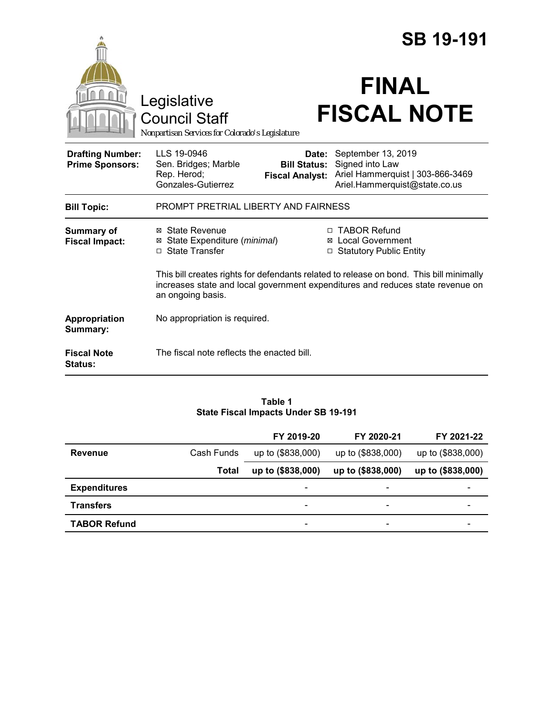|                                                   |                                                                                        |                                                        | <b>SB 19-191</b>                                                                                                                                                          |
|---------------------------------------------------|----------------------------------------------------------------------------------------|--------------------------------------------------------|---------------------------------------------------------------------------------------------------------------------------------------------------------------------------|
|                                                   | Legislative<br><b>Council Staff</b><br>Nonpartisan Services for Colorado's Legislature |                                                        | <b>FINAL</b><br><b>FISCAL NOTE</b>                                                                                                                                        |
| <b>Drafting Number:</b><br><b>Prime Sponsors:</b> | LLS 19-0946<br>Sen. Bridges; Marble<br>Rep. Herod;<br>Gonzales-Gutierrez               | Date:<br><b>Bill Status:</b><br><b>Fiscal Analyst:</b> | September 13, 2019<br>Signed into Law<br>Ariel Hammerquist   303-866-3469<br>Ariel.Hammerquist@state.co.us                                                                |
| <b>Bill Topic:</b>                                | PROMPT PRETRIAL LIBERTY AND FAIRNESS                                                   |                                                        |                                                                                                                                                                           |
| <b>Summary of</b><br><b>Fiscal Impact:</b>        | ⊠ State Revenue<br>State Expenditure (minimal)<br>⊠<br>□ State Transfer                | □                                                      | □ TABOR Refund<br>⊠ Local Government<br><b>Statutory Public Entity</b>                                                                                                    |
|                                                   | an ongoing basis.                                                                      |                                                        | This bill creates rights for defendants related to release on bond. This bill minimally<br>increases state and local government expenditures and reduces state revenue on |
| Appropriation<br>Summary:                         | No appropriation is required.                                                          |                                                        |                                                                                                                                                                           |
| <b>Fiscal Note</b><br><b>Status:</b>              | The fiscal note reflects the enacted bill.                                             |                                                        |                                                                                                                                                                           |

#### **Table 1 State Fiscal Impacts Under SB 19-191**

|                     |              | FY 2019-20               | FY 2020-21               | FY 2021-22        |
|---------------------|--------------|--------------------------|--------------------------|-------------------|
| Revenue             | Cash Funds   | up to (\$838,000)        | up to (\$838,000)        | up to (\$838,000) |
|                     | <b>Total</b> | up to (\$838,000)        | up to (\$838,000)        | up to (\$838,000) |
| <b>Expenditures</b> |              | $\overline{\phantom{0}}$ |                          |                   |
| <b>Transfers</b>    |              | $\overline{\phantom{0}}$ | $\overline{\phantom{0}}$ |                   |
| <b>TABOR Refund</b> |              | $\overline{\phantom{0}}$ | -                        |                   |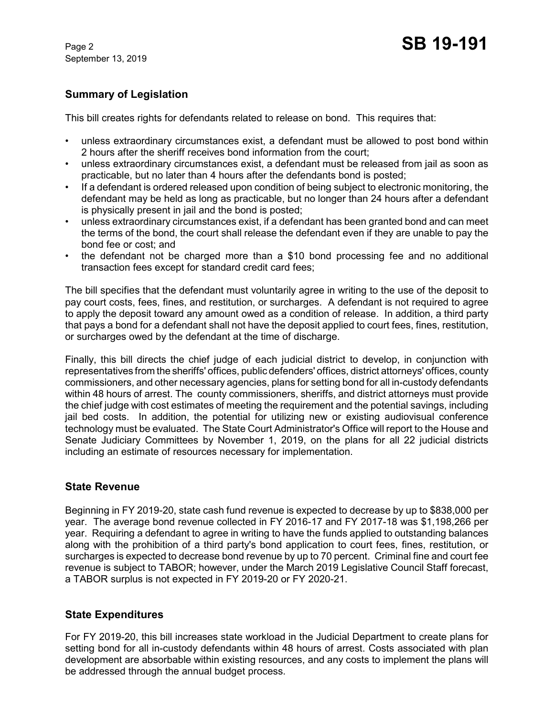September 13, 2019

# **Summary of Legislation**

This bill creates rights for defendants related to release on bond. This requires that:

- unless extraordinary circumstances exist, a defendant must be allowed to post bond within 2 hours after the sheriff receives bond information from the court;
- unless extraordinary circumstances exist, a defendant must be released from jail as soon as practicable, but no later than 4 hours after the defendants bond is posted;
- If a defendant is ordered released upon condition of being subject to electronic monitoring, the defendant may be held as long as practicable, but no longer than 24 hours after a defendant is physically present in jail and the bond is posted;
- unless extraordinary circumstances exist, if a defendant has been granted bond and can meet the terms of the bond, the court shall release the defendant even if they are unable to pay the bond fee or cost; and
- the defendant not be charged more than a \$10 bond processing fee and no additional transaction fees except for standard credit card fees;

The bill specifies that the defendant must voluntarily agree in writing to the use of the deposit to pay court costs, fees, fines, and restitution, or surcharges. A defendant is not required to agree to apply the deposit toward any amount owed as a condition of release. In addition, a third party that pays a bond for a defendant shall not have the deposit applied to court fees, fines, restitution, or surcharges owed by the defendant at the time of discharge.

Finally, this bill directs the chief judge of each judicial district to develop, in conjunction with representatives from the sheriffs' offices, public defenders' offices, district attorneys' offices, county commissioners, and other necessary agencies, plans for setting bond for all in-custody defendants within 48 hours of arrest. The county commissioners, sheriffs, and district attorneys must provide the chief judge with cost estimates of meeting the requirement and the potential savings, including jail bed costs. In addition, the potential for utilizing new or existing audiovisual conference technology must be evaluated. The State Court Administrator's Office will report to the House and Senate Judiciary Committees by November 1, 2019, on the plans for all 22 judicial districts including an estimate of resources necessary for implementation.

#### **State Revenue**

Beginning in FY 2019-20, state cash fund revenue is expected to decrease by up to \$838,000 per year. The average bond revenue collected in FY 2016-17 and FY 2017-18 was \$1,198,266 per year. Requiring a defendant to agree in writing to have the funds applied to outstanding balances along with the prohibition of a third party's bond application to court fees, fines, restitution, or surcharges is expected to decrease bond revenue by up to 70 percent. Criminal fine and court fee revenue is subject to TABOR; however, under the March 2019 Legislative Council Staff forecast, a TABOR surplus is not expected in FY 2019-20 or FY 2020-21.

# **State Expenditures**

For FY 2019-20, this bill increases state workload in the Judicial Department to create plans for setting bond for all in-custody defendants within 48 hours of arrest. Costs associated with plan development are absorbable within existing resources, and any costs to implement the plans will be addressed through the annual budget process.